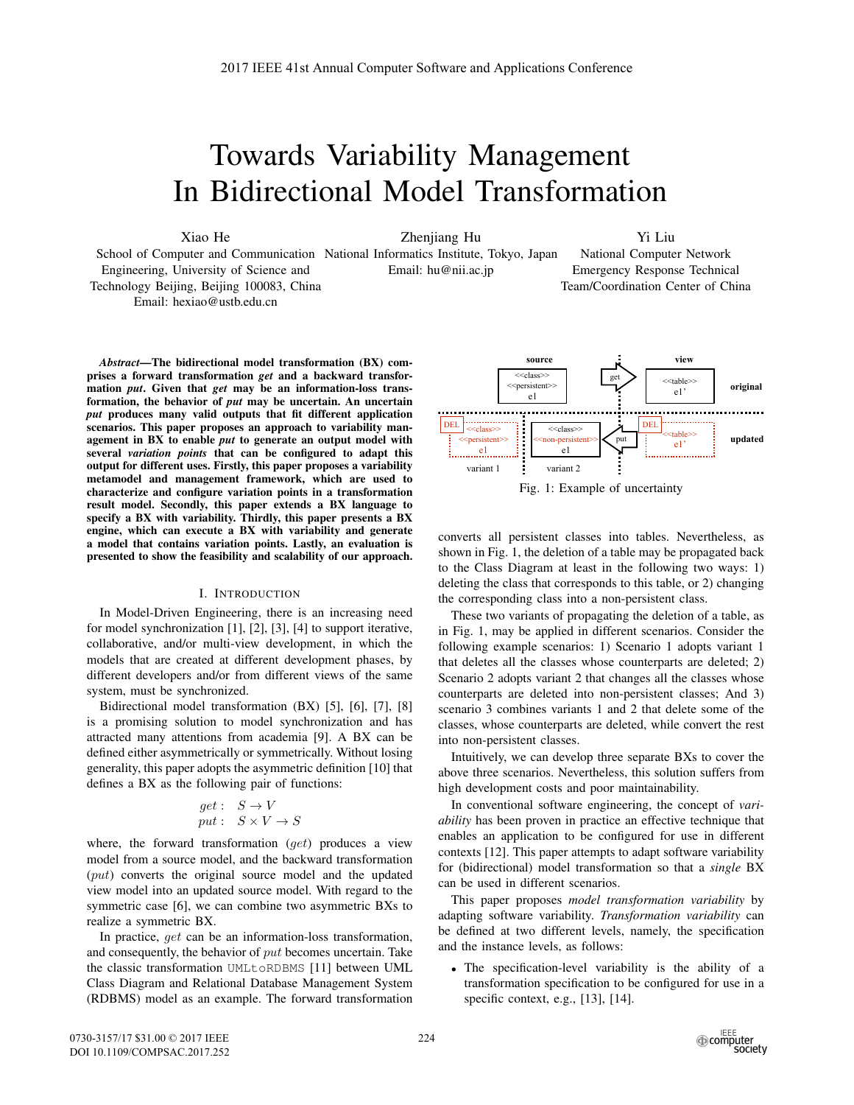# Towards Variability Management In Bidirectional Model Transformation

Xiao He

Zhenjiang Hu

Yi Liu National Computer Network

Emergency Response Technical Team/Coordination Center of China

School of Computer and Communication National Informatics Institute, Tokyo, Japan Engineering, University of Science and Technology Beijing, Beijing 100083, China Email: hexiao@ustb.edu.cn Email: hu@nii.ac.jp

*Abstract*—The bidirectional model transformation (BX) comprises a forward transformation *get* and a backward transformation *put*. Given that *get* may be an information-loss transformation, the behavior of *put* may be uncertain. An uncertain *put* produces many valid outputs that fit different application scenarios. This paper proposes an approach to variability management in BX to enable *put* to generate an output model with several *variation points* that can be configured to adapt this output for different uses. Firstly, this paper proposes a variability metamodel and management framework, which are used to characterize and configure variation points in a transformation result model. Secondly, this paper extends a BX language to specify a BX with variability. Thirdly, this paper presents a BX engine, which can execute a BX with variability and generate a model that contains variation points. Lastly, an evaluation is presented to show the feasibility and scalability of our approach.

#### I. INTRODUCTION

In Model-Driven Engineering, there is an increasing need for model synchronization [1], [2], [3], [4] to support iterative, collaborative, and/or multi-view development, in which the models that are created at different development phases, by different developers and/or from different views of the same system, must be synchronized.

Bidirectional model transformation (BX) [5], [6], [7], [8] is a promising solution to model synchronization and has attracted many attentions from academia [9]. A BX can be defined either asymmetrically or symmetrically. Without losing generality, this paper adopts the asymmetric definition [10] that defines a BX as the following pair of functions:

$$
\begin{array}{l} get: \quad S \rightarrow V \\ put: \quad S \times V \rightarrow S \end{array}
$$

where, the forward transformation  $(qet)$  produces a view model from a source model, and the backward transformation (put) converts the original source model and the updated view model into an updated source model. With regard to the symmetric case [6], we can combine two asymmetric BXs to realize a symmetric BX.

In practice, get can be an information-loss transformation, and consequently, the behavior of put becomes uncertain. Take the classic transformation UMLtoRDBMS [11] between UML Class Diagram and Relational Database Management System (RDBMS) model as an example. The forward transformation





converts all persistent classes into tables. Nevertheless, as shown in Fig. 1, the deletion of a table may be propagated back to the Class Diagram at least in the following two ways: 1) deleting the class that corresponds to this table, or 2) changing the corresponding class into a non-persistent class.

These two variants of propagating the deletion of a table, as in Fig. 1, may be applied in different scenarios. Consider the following example scenarios: 1) Scenario 1 adopts variant 1 that deletes all the classes whose counterparts are deleted; 2) Scenario 2 adopts variant 2 that changes all the classes whose counterparts are deleted into non-persistent classes; And 3) scenario 3 combines variants 1 and 2 that delete some of the classes, whose counterparts are deleted, while convert the rest into non-persistent classes.

Intuitively, we can develop three separate BXs to cover the above three scenarios. Nevertheless, this solution suffers from high development costs and poor maintainability.

In conventional software engineering, the concept of *variability* has been proven in practice an effective technique that enables an application to be configured for use in different contexts [12]. This paper attempts to adapt software variability for (bidirectional) model transformation so that a *single* BX can be used in different scenarios.

This paper proposes *model transformation variability* by adapting software variability. *Transformation variability* can be defined at two different levels, namely, the specification and the instance levels, as follows:

• The specification-level variability is the ability of a transformation specification to be configured for use in a specific context, e.g., [13], [14].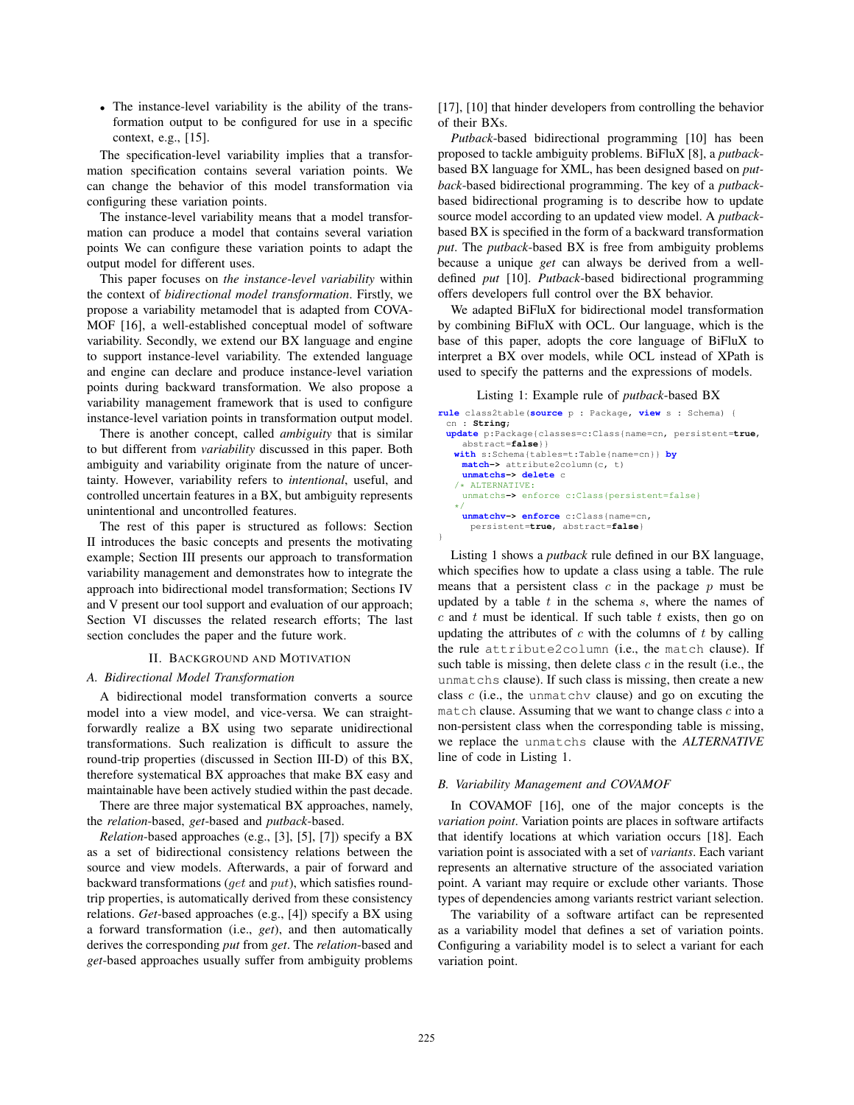• The instance-level variability is the ability of the transformation output to be configured for use in a specific context, e.g., [15].

The specification-level variability implies that a transformation specification contains several variation points. We can change the behavior of this model transformation via configuring these variation points.

The instance-level variability means that a model transformation can produce a model that contains several variation points We can configure these variation points to adapt the output model for different uses.

This paper focuses on *the instance-level variability* within the context of *bidirectional model transformation*. Firstly, we propose a variability metamodel that is adapted from COVA-MOF [16], a well-established conceptual model of software variability. Secondly, we extend our BX language and engine to support instance-level variability. The extended language and engine can declare and produce instance-level variation points during backward transformation. We also propose a variability management framework that is used to configure instance-level variation points in transformation output model.

There is another concept, called *ambiguity* that is similar to but different from *variability* discussed in this paper. Both ambiguity and variability originate from the nature of uncertainty. However, variability refers to *intentional*, useful, and controlled uncertain features in a BX, but ambiguity represents unintentional and uncontrolled features.

The rest of this paper is structured as follows: Section II introduces the basic concepts and presents the motivating example; Section III presents our approach to transformation variability management and demonstrates how to integrate the approach into bidirectional model transformation; Sections IV and V present our tool support and evaluation of our approach; Section VI discusses the related research efforts; The last section concludes the paper and the future work.

#### II. BACKGROUND AND MOTIVATION

### *A. Bidirectional Model Transformation*

A bidirectional model transformation converts a source model into a view model, and vice-versa. We can straightforwardly realize a BX using two separate unidirectional transformations. Such realization is difficult to assure the round-trip properties (discussed in Section III-D) of this BX, therefore systematical BX approaches that make BX easy and maintainable have been actively studied within the past decade.

There are three major systematical BX approaches, namely, the *relation*-based, *get*-based and *putback*-based.

*Relation*-based approaches (e.g., [3], [5], [7]) specify a BX as a set of bidirectional consistency relations between the source and view models. Afterwards, a pair of forward and backward transformations (get and put), which satisfies roundtrip properties, is automatically derived from these consistency relations. *Get*-based approaches (e.g., [4]) specify a BX using a forward transformation (i.e., *get*), and then automatically derives the corresponding *put* from *get*. The *relation*-based and *get*-based approaches usually suffer from ambiguity problems

[17], [10] that hinder developers from controlling the behavior of their BXs.

*Putback*-based bidirectional programming [10] has been proposed to tackle ambiguity problems. BiFluX [8], a *putback*based BX language for XML, has been designed based on *putback*-based bidirectional programming. The key of a *putback*based bidirectional programing is to describe how to update source model according to an updated view model. A *putback*based BX is specified in the form of a backward transformation *put*. The *putback*-based BX is free from ambiguity problems because a unique *get* can always be derived from a welldefined *put* [10]. *Putback*-based bidirectional programming offers developers full control over the BX behavior.

We adapted BiFluX for bidirectional model transformation by combining BiFluX with OCL. Our language, which is the base of this paper, adopts the core language of BiFluX to interpret a BX over models, while OCL instead of XPath is used to specify the patterns and the expressions of models.

Listing 1: Example rule of *putback*-based BX

```
rule class2table(source p : Package, view s : Schema) {
 cn : String;
 update p:Package{classes=c:Class{name=cn, persistent=true,
    abstract=false}}
  with s:Schema{tables=t:Table{name=cn}} by
    match-> attribute2column(c, t)
    unmatchs-> delete c
   /* ALTERNATIVE:
    unmatchs-> enforce c:Class{persistent=false}
   */
    unmatchv-> enforce c:Class{name=cn,
     persistent=true, abstract=false}
}
```
Listing 1 shows a *putback* rule defined in our BX language, which specifies how to update a class using a table. The rule means that a persistent class  $c$  in the package  $p$  must be updated by a table  $t$  in the schema  $s$ , where the names of  $c$  and  $t$  must be identical. If such table  $t$  exists, then go on updating the attributes of  $c$  with the columns of  $t$  by calling the rule attribute2column (i.e., the match clause). If such table is missing, then delete class  $c$  in the result (i.e., the unmatchs clause). If such class is missing, then create a new class  $c$  (i.e., the unmatchy clause) and go on excuting the match clause. Assuming that we want to change class  $c$  into a non-persistent class when the corresponding table is missing, we replace the unmatchs clause with the *ALTERNATIVE* line of code in Listing 1.

# *B. Variability Management and COVAMOF*

In COVAMOF [16], one of the major concepts is the *variation point*. Variation points are places in software artifacts that identify locations at which variation occurs [18]. Each variation point is associated with a set of *variants*. Each variant represents an alternative structure of the associated variation point. A variant may require or exclude other variants. Those types of dependencies among variants restrict variant selection.

The variability of a software artifact can be represented as a variability model that defines a set of variation points. Configuring a variability model is to select a variant for each variation point.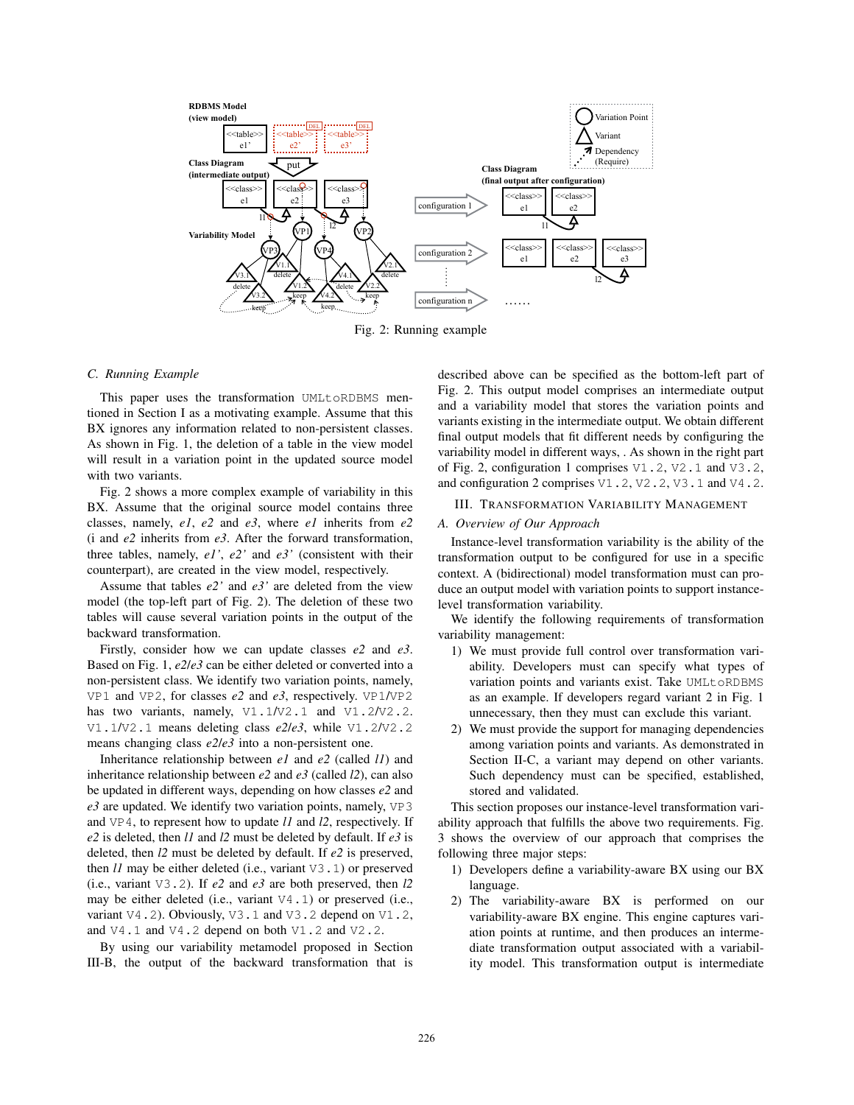

Fig. 2: Running example

#### *C. Running Example*

This paper uses the transformation UMLtoRDBMS mentioned in Section I as a motivating example. Assume that this BX ignores any information related to non-persistent classes. As shown in Fig. 1, the deletion of a table in the view model will result in a variation point in the updated source model with two variants.

Fig. 2 shows a more complex example of variability in this BX. Assume that the original source model contains three classes, namely, *e1*, *e2* and *e3*, where *e1* inherits from *e2* (i and *e2* inherits from *e3*. After the forward transformation, three tables, namely, *e1'*, *e2'* and *e3'* (consistent with their counterpart), are created in the view model, respectively.

Assume that tables *e2'* and *e3'* are deleted from the view model (the top-left part of Fig. 2). The deletion of these two tables will cause several variation points in the output of the backward transformation.

Firstly, consider how we can update classes *e2* and *e3*. Based on Fig. 1, *e2*/*e3* can be either deleted or converted into a non-persistent class. We identify two variation points, namely, VP1 and VP2, for classes *e2* and *e3*, respectively. VP1/VP2 has two variants, namely,  $\forall$ 1.1/V2.1 and V1.2/V2.2. V1.1/V2.1 means deleting class *e2*/*e3*, while V1.2/V2.2 means changing class *e2*/*e3* into a non-persistent one.

Inheritance relationship between *e1* and *e2* (called *l1*) and inheritance relationship between *e2* and *e3* (called *l2*), can also be updated in different ways, depending on how classes *e2* and *e3* are updated. We identify two variation points, namely, VP3 and VP4, to represent how to update *l1* and *l2*, respectively. If *e2* is deleted, then *l1* and *l2* must be deleted by default. If *e3* is deleted, then *l2* must be deleted by default. If *e2* is preserved, then *l1* may be either deleted (i.e., variant V3.1) or preserved (i.e., variant V3.2). If *e2* and *e3* are both preserved, then *l2* may be either deleted (i.e., variant  $\nabla 4.1$ ) or preserved (i.e., variant V4.2). Obviously, V3.1 and V3.2 depend on V1.2, and V4.1 and V4.2 depend on both V1.2 and V2.2.

By using our variability metamodel proposed in Section III-B, the output of the backward transformation that is described above can be specified as the bottom-left part of Fig. 2. This output model comprises an intermediate output and a variability model that stores the variation points and variants existing in the intermediate output. We obtain different final output models that fit different needs by configuring the variability model in different ways, . As shown in the right part of Fig. 2, configuration 1 comprises V1.2, V2.1 and V3.2, and configuration 2 comprises  $V1.2$ ,  $V2.2$ ,  $V3.1$  and  $V4.2$ .

# III. TRANSFORMATION VARIABILITY MANAGEMENT

# *A. Overview of Our Approach*

Instance-level transformation variability is the ability of the transformation output to be configured for use in a specific context. A (bidirectional) model transformation must can produce an output model with variation points to support instancelevel transformation variability.

We identify the following requirements of transformation variability management:

- 1) We must provide full control over transformation variability. Developers must can specify what types of variation points and variants exist. Take UMLtoRDBMS as an example. If developers regard variant 2 in Fig. 1 unnecessary, then they must can exclude this variant.
- 2) We must provide the support for managing dependencies among variation points and variants. As demonstrated in Section II-C, a variant may depend on other variants. Such dependency must can be specified, established, stored and validated.

This section proposes our instance-level transformation variability approach that fulfills the above two requirements. Fig. 3 shows the overview of our approach that comprises the following three major steps:

- 1) Developers define a variability-aware BX using our BX language.
- 2) The variability-aware BX is performed on our variability-aware BX engine. This engine captures variation points at runtime, and then produces an intermediate transformation output associated with a variability model. This transformation output is intermediate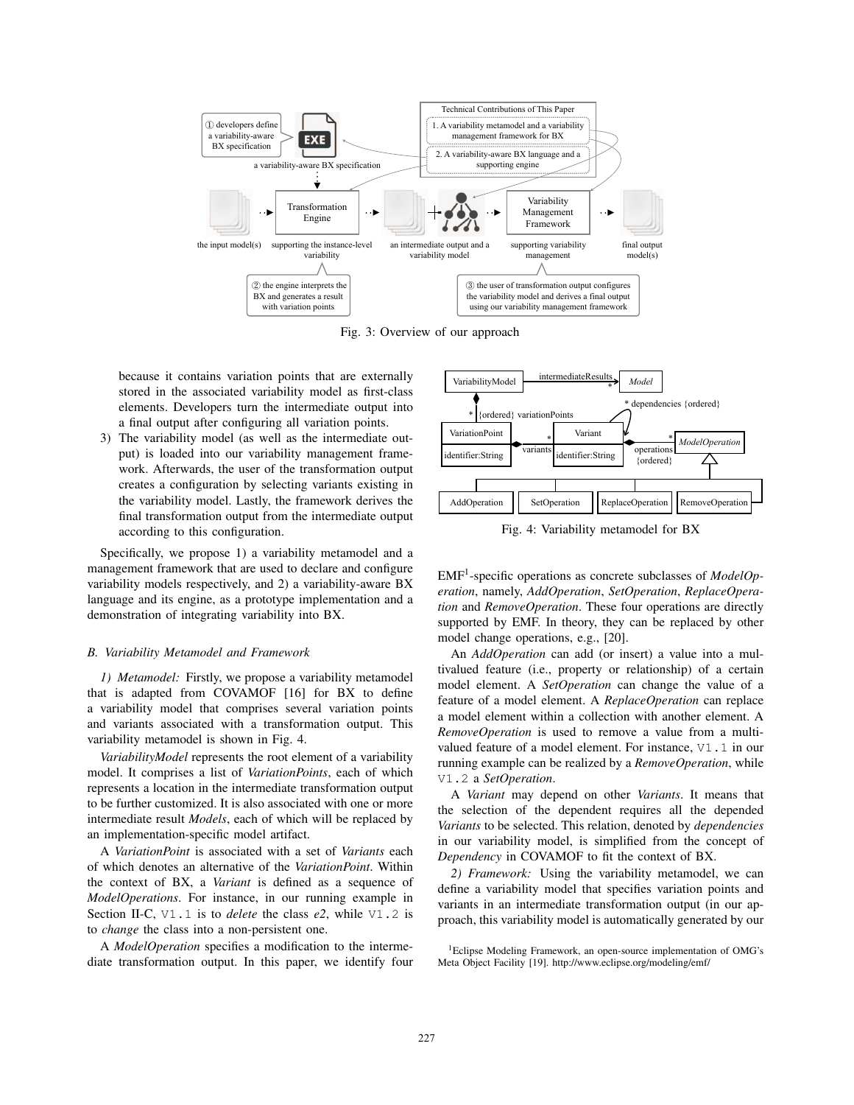

Fig. 3: Overview of our approach

because it contains variation points that are externally stored in the associated variability model as first-class elements. Developers turn the intermediate output into a final output after configuring all variation points.

3) The variability model (as well as the intermediate output) is loaded into our variability management framework. Afterwards, the user of the transformation output creates a configuration by selecting variants existing in the variability model. Lastly, the framework derives the final transformation output from the intermediate output according to this configuration.

Specifically, we propose 1) a variability metamodel and a management framework that are used to declare and configure variability models respectively, and 2) a variability-aware BX language and its engine, as a prototype implementation and a demonstration of integrating variability into BX.

# *B. Variability Metamodel and Framework*

*1) Metamodel:* Firstly, we propose a variability metamodel that is adapted from COVAMOF [16] for BX to define a variability model that comprises several variation points and variants associated with a transformation output. This variability metamodel is shown in Fig. 4.

*VariabilityModel* represents the root element of a variability model. It comprises a list of *VariationPoints*, each of which represents a location in the intermediate transformation output to be further customized. It is also associated with one or more intermediate result *Models*, each of which will be replaced by an implementation-specific model artifact.

A *VariationPoint* is associated with a set of *Variants* each of which denotes an alternative of the *VariationPoint*. Within the context of BX, a *Variant* is defined as a sequence of *ModelOperations*. For instance, in our running example in Section II-C, V1.1 is to *delete* the class *e2*, while V1.2 is to *change* the class into a non-persistent one.

A *ModelOperation* specifies a modification to the intermediate transformation output. In this paper, we identify four



Fig. 4: Variability metamodel for BX

EMF1-specific operations as concrete subclasses of *ModelOperation*, namely, *AddOperation*, *SetOperation*, *ReplaceOperation* and *RemoveOperation*. These four operations are directly supported by EMF. In theory, they can be replaced by other model change operations, e.g., [20].

An *AddOperation* can add (or insert) a value into a multivalued feature (i.e., property or relationship) of a certain model element. A *SetOperation* can change the value of a feature of a model element. A *ReplaceOperation* can replace a model element within a collection with another element. A *RemoveOperation* is used to remove a value from a multivalued feature of a model element. For instance, V1.1 in our running example can be realized by a *RemoveOperation*, while V1.2 a *SetOperation*.

A *Variant* may depend on other *Variants*. It means that the selection of the dependent requires all the depended *Variants* to be selected. This relation, denoted by *dependencies* in our variability model, is simplified from the concept of *Dependency* in COVAMOF to fit the context of BX.

*2) Framework:* Using the variability metamodel, we can define a variability model that specifies variation points and variants in an intermediate transformation output (in our approach, this variability model is automatically generated by our

<sup>&</sup>lt;sup>1</sup>Eclipse Modeling Framework, an open-source implementation of OMG's Meta Object Facility [19]. http://www.eclipse.org/modeling/emf/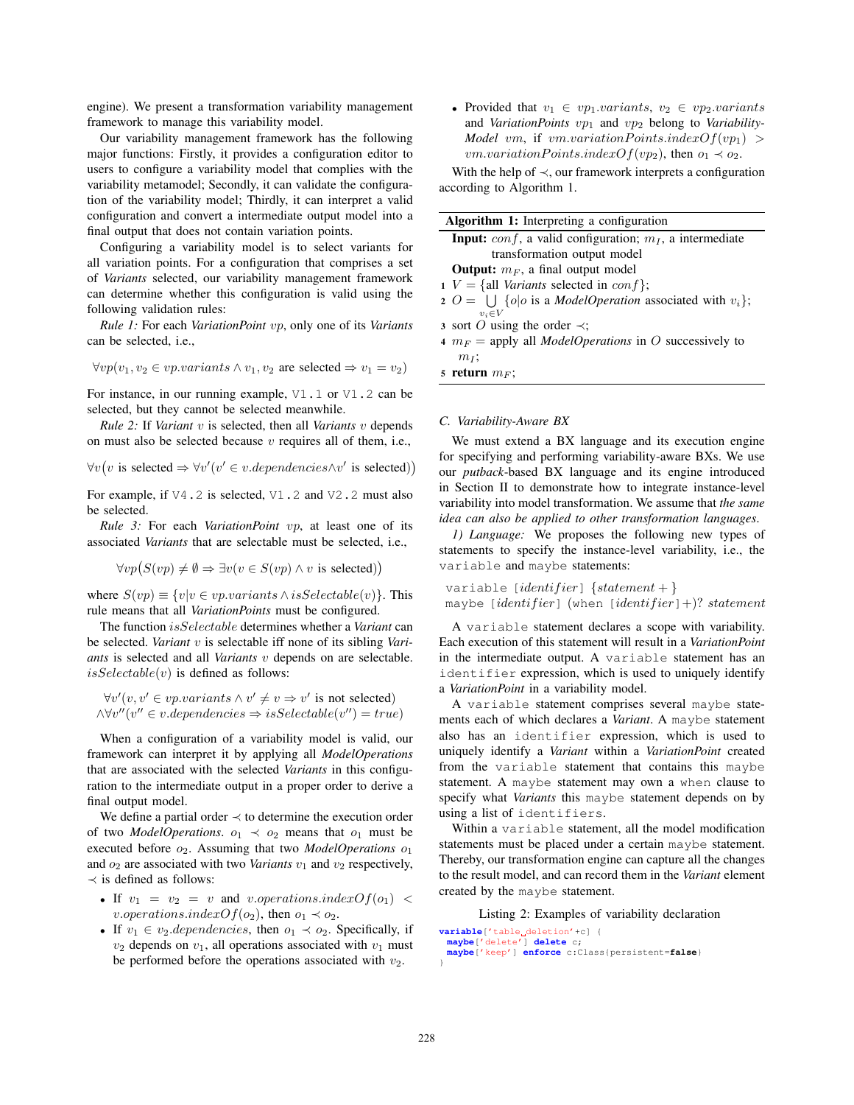engine). We present a transformation variability management framework to manage this variability model.

Our variability management framework has the following major functions: Firstly, it provides a configuration editor to users to configure a variability model that complies with the variability metamodel; Secondly, it can validate the configuration of the variability model; Thirdly, it can interpret a valid configuration and convert a intermediate output model into a final output that does not contain variation points.

Configuring a variability model is to select variants for all variation points. For a configuration that comprises a set of *Variants* selected, our variability management framework can determine whether this configuration is valid using the following validation rules:

*Rule 1:* For each *VariationPoint* vp, only one of its *Variants* can be selected, i.e.,

$$
\forall vp(v_1, v_2 \in vp.variants \land v_1, v_2 \text{ are selected} \Rightarrow v_1 = v_2)
$$

For instance, in our running example, V1.1 or V1.2 can be selected, but they cannot be selected meanwhile.

*Rule 2:* If *Variant* v is selected, then all *Variants* v depends on must also be selected because  $v$  requires all of them, i.e.,

 $\forall v(v \text{ is selected} \Rightarrow \forall v'(v' \in v.dependencies \land v' \text{ is selected})$ 

For example, if V4.2 is selected, V1.2 and V2.2 must also be selected.

*Rule 3:* For each *VariationPoint* vp, at least one of its associated *Variants* that are selectable must be selected, i.e.,

 $\forall vp(S(vp) \neq \emptyset \Rightarrow \exists v(v \in S(vp) \land v \text{ is selected})$ 

where  $S(vp) \equiv \{v|v \in vp.variants \land isSelectable(v)\}.$  This rule means that all *VariationPoints* must be configured.

The function isSelectable determines whether a *Variant* can be selected. *Variant* v is selectable iff none of its sibling *Variants* is selected and all *Variants* v depends on are selectable.  $isSelectable(v)$  is defined as follows:

 $\forall v'(v, v' \in vp \text{.}varients \land v' \neq v \Rightarrow v' \text{ is not selected})$  $\wedge \forall v''(v'' \in v.dependencies \Rightarrow isSelectable(v'') = true)$ 

When a configuration of a variability model is valid, our framework can interpret it by applying all *ModelOperations* that are associated with the selected *Variants* in this configuration to the intermediate output in a proper order to derive a final output model.

We define a partial order  $\prec$  to determine the execution order of two *ModelOperations*.  $o_1 \prec o_2$  means that  $o_1$  must be executed before  $o_2$ . Assuming that two *ModelOperations*  $o_1$ and  $o_2$  are associated with two *Variants*  $v_1$  and  $v_2$  respectively,  $\prec$  is defined as follows:

- If  $v_1 = v_2 = v$  and v.operations.index $Of(o_1)$  < v.operations.indexOf( $o_2$ ), then  $o_1 \prec o_2$ .
- If  $v_1 \in v_2$  *dependencies*, then  $o_1 \prec o_2$ . Specifically, if  $v_2$  depends on  $v_1$ , all operations associated with  $v_1$  must be performed before the operations associated with  $v_2$ .

• Provided that  $v_1 \in vp_1 \,variants, \ v_2 \in vp_2 \,variants$ and *VariationPoints*  $vp_1$  and  $vp_2$  belong to *Variability*-*Model* vm, if vm.variationPoints.index $Of(vp_1)$ *vm.variationPoints.indexOf(vp*<sub>2</sub>), then  $o_1 \prec o_2$ .

With the help of  $\prec$ , our framework interprets a configuration according to Algorithm 1.

| <b>Algorithm 1:</b> Interpreting a configuration                 |                                                                           |
|------------------------------------------------------------------|---------------------------------------------------------------------------|
| <b>Input:</b> conf, a valid configuration; $mI$ , a intermediate |                                                                           |
|                                                                  | transformation output model                                               |
|                                                                  | <b>Output:</b> $m_F$ , a final output model                               |
|                                                                  | $V = \{all Variants selected in conf\};$                                  |
|                                                                  | 2 $O = \bigcup \{o o \text{ is a ModelOperation associated with } v_i\};$ |
|                                                                  | $v_i \in V$                                                               |
|                                                                  | 3 sort O using the order $\prec$ ;                                        |
|                                                                  | 4 $m_F$ = apply all <i>ModelOperations</i> in O successively to           |
|                                                                  | $m_I$ ;                                                                   |
|                                                                  | 5 return $m_F$ ;                                                          |
|                                                                  |                                                                           |
|                                                                  |                                                                           |
|                                                                  |                                                                           |

# *C. Variability-Aware BX*

We must extend a BX language and its execution engine for specifying and performing variability-aware BXs. We use our *putback*-based BX language and its engine introduced in Section II to demonstrate how to integrate instance-level variability into model transformation. We assume that *the same idea can also be applied to other transformation languages*.

*1) Language:* We proposes the following new types of statements to specify the instance-level variability, i.e., the variable and maybe statements:

```
variable [identifier] \{statement + \}maybe [identifier] (when [identifier]+)? statement
```
A variable statement declares a scope with variability. Each execution of this statement will result in a *VariationPoint* in the intermediate output. A variable statement has an identifier expression, which is used to uniquely identify a *VariationPoint* in a variability model.

A variable statement comprises several maybe statements each of which declares a *Variant*. A maybe statement also has an identifier expression, which is used to uniquely identify a *Variant* within a *VariationPoint* created from the variable statement that contains this maybe statement. A maybe statement may own a when clause to specify what *Variants* this maybe statement depends on by using a list of identifiers.

Within a variable statement, all the model modification statements must be placed under a certain maybe statement. Thereby, our transformation engine can capture all the changes to the result model, and can record them in the *Variant* element created by the maybe statement.

Listing 2: Examples of variability declaration

```
variable['table_deletion'+c] {
 maybe['delete'] delete c;
 maybe['keep'] enforce c:Class{persistent=false}
}
```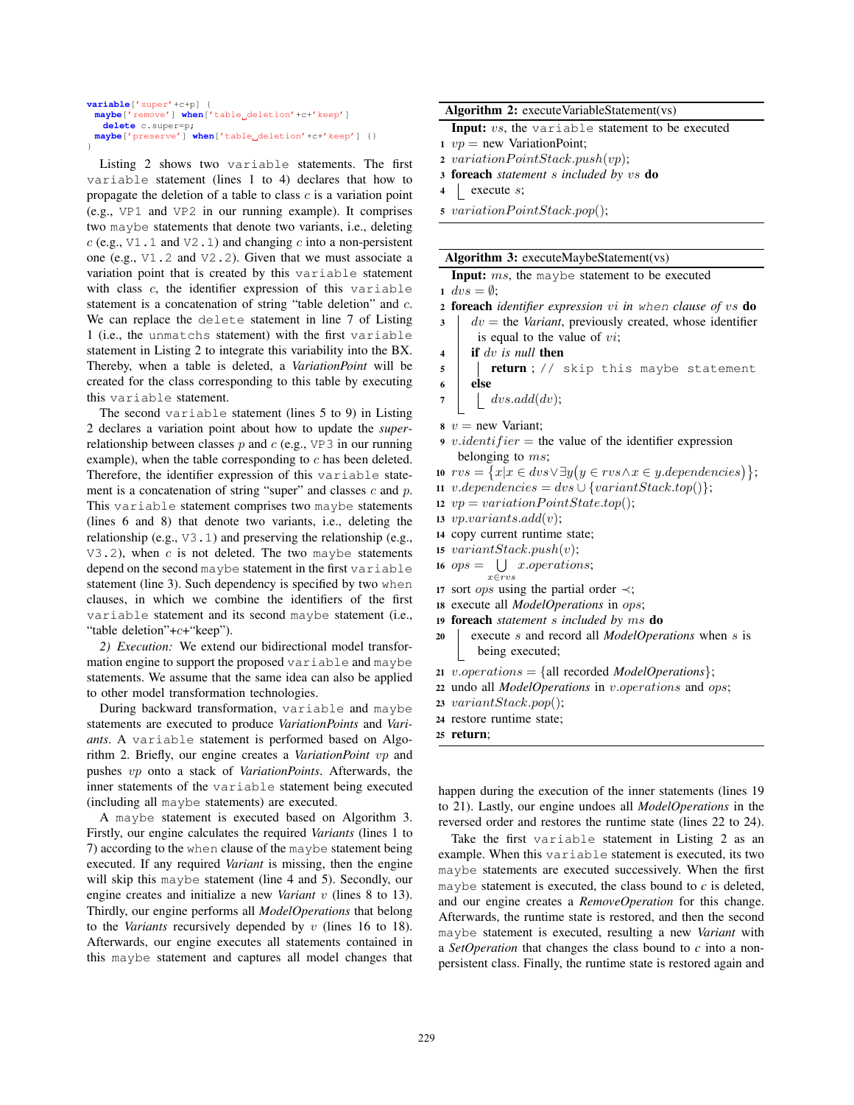```
variable['super'+c+p] {
 maybe['remove'] when['table deletion'+c+'keep']
   delete c.super=p;
 \text{maybe}['preserve'] \text{ when}['table_d\text{deletion}'+c+'keep'] {}
}
```
Listing 2 shows two variable statements. The first variable statement (lines 1 to 4) declares that how to propagate the deletion of a table to class  $c$  is a variation point (e.g., VP1 and VP2 in our running example). It comprises two maybe statements that denote two variants, i.e., deleting  $c$  (e.g.,  $\nabla$ 1.1 and  $\nabla$ 2.1) and changing c into a non-persistent one (e.g., V1.2 and V2.2). Given that we must associate a variation point that is created by this variable statement with class c, the identifier expression of this variable statement is a concatenation of string "table deletion" and c. We can replace the delete statement in line 7 of Listing 1 (i.e., the unmatchs statement) with the first variable statement in Listing 2 to integrate this variability into the BX. Thereby, when a table is deleted, a *VariationPoint* will be created for the class corresponding to this table by executing this variable statement.

The second variable statement (lines 5 to 9) in Listing 2 declares a variation point about how to update the *super*relationship between classes  $p$  and  $c$  (e.g., VP3 in our running example), when the table corresponding to c has been deleted. Therefore, the identifier expression of this variable statement is a concatenation of string "super" and classes  $c$  and  $p$ . This variable statement comprises two maybe statements (lines 6 and 8) that denote two variants, i.e., deleting the relationship (e.g., V3.1) and preserving the relationship (e.g.,  $V3.2$ ), when c is not deleted. The two maybe statements depend on the second maybe statement in the first variable statement (line 3). Such dependency is specified by two when clauses, in which we combine the identifiers of the first variable statement and its second maybe statement (i.e., "table deletion"+c+"keep").

*2) Execution:* We extend our bidirectional model transformation engine to support the proposed variable and maybe statements. We assume that the same idea can also be applied to other model transformation technologies.

During backward transformation, variable and maybe statements are executed to produce *VariationPoints* and *Variants*. A variable statement is performed based on Algorithm 2. Briefly, our engine creates a *VariationPoint* vp and pushes vp onto a stack of *VariationPoints*. Afterwards, the inner statements of the variable statement being executed (including all maybe statements) are executed.

A maybe statement is executed based on Algorithm 3. Firstly, our engine calculates the required *Variants* (lines 1 to 7) according to the when clause of the maybe statement being executed. If any required *Variant* is missing, then the engine will skip this maybe statement (line 4 and 5). Secondly, our engine creates and initialize a new *Variant* v (lines 8 to 13). Thirdly, our engine performs all *ModelOperations* that belong to the *Variants* recursively depended by v (lines 16 to 18). Afterwards, our engine executes all statements contained in this maybe statement and captures all model changes that

#### Algorithm 2: executeVariableStatement(vs)

```
Input: vs, the variable statement to be executed
```
- 1  $vp = new VariationPoint;$
- 2 variation  $PointStack.push(vp);$
- <sup>3</sup> foreach *statement* s *included by* vs do
- $4 \mid$  execute s;
- $5$  variation  $PointStack.pop()$ ;

#### Algorithm 3: executeMaybeStatement(vs)

Input: ms, the maybe statement to be executed

1  $dvs = \emptyset$ ;

- <sup>2</sup> foreach *identifier expression* vi *in* when *clause of* vs do
- $3 \mid dv =$  the *Variant*, previously created, whose identifier is equal to the value of  $vi$ ;
- <sup>4</sup> if dv *is null* then
- 5 | **return** ; // skip this maybe statement
- <sup>6</sup> else
- $7 \mid$  dvs.add(dv);
- $v = new Variant;$
- 9 v.identifier = the value of the identifier expression belonging to  $ms$ ;
- $10 \, \text{rvs} = \{x | x \in \text{dvs} \lor \exists y \big( y \in \text{rvs} \land x \in y.\text{dependence}\big)\}\};$
- 11 v.dependencies = dvs  $\cup$  {variant Stack.top()};
- 12  $vp = variationPointState.top();$
- 13 *vp.variants.add(v)*;
- <sup>14</sup> copy current runtime state;
- 15  $variantStack.push(v);$
- 16  $ops = \bigcup x. operations;$  $x \in rv$
- <sup>17</sup> sort ops using the partial order ≺;
- <sup>18</sup> execute all *ModelOperations* in ops;
- <sup>19</sup> foreach *statement* s *included by* ms do
- <sup>20</sup> execute s and record all *ModelOperations* when s is being executed;
- 21 *v.operations* = {all recorded *ModelOperations*};
- <sup>22</sup> undo all *ModelOperations* in v.operations and ops;
- <sup>23</sup> variantStack.pop();
- <sup>24</sup> restore runtime state;
- <sup>25</sup> return;

happen during the execution of the inner statements (lines 19 to 21). Lastly, our engine undoes all *ModelOperations* in the reversed order and restores the runtime state (lines 22 to 24).

Take the first variable statement in Listing 2 as an example. When this variable statement is executed, its two maybe statements are executed successively. When the first maybe statement is executed, the class bound to *c* is deleted, and our engine creates a *RemoveOperation* for this change. Afterwards, the runtime state is restored, and then the second maybe statement is executed, resulting a new *Variant* with a *SetOperation* that changes the class bound to *c* into a nonpersistent class. Finally, the runtime state is restored again and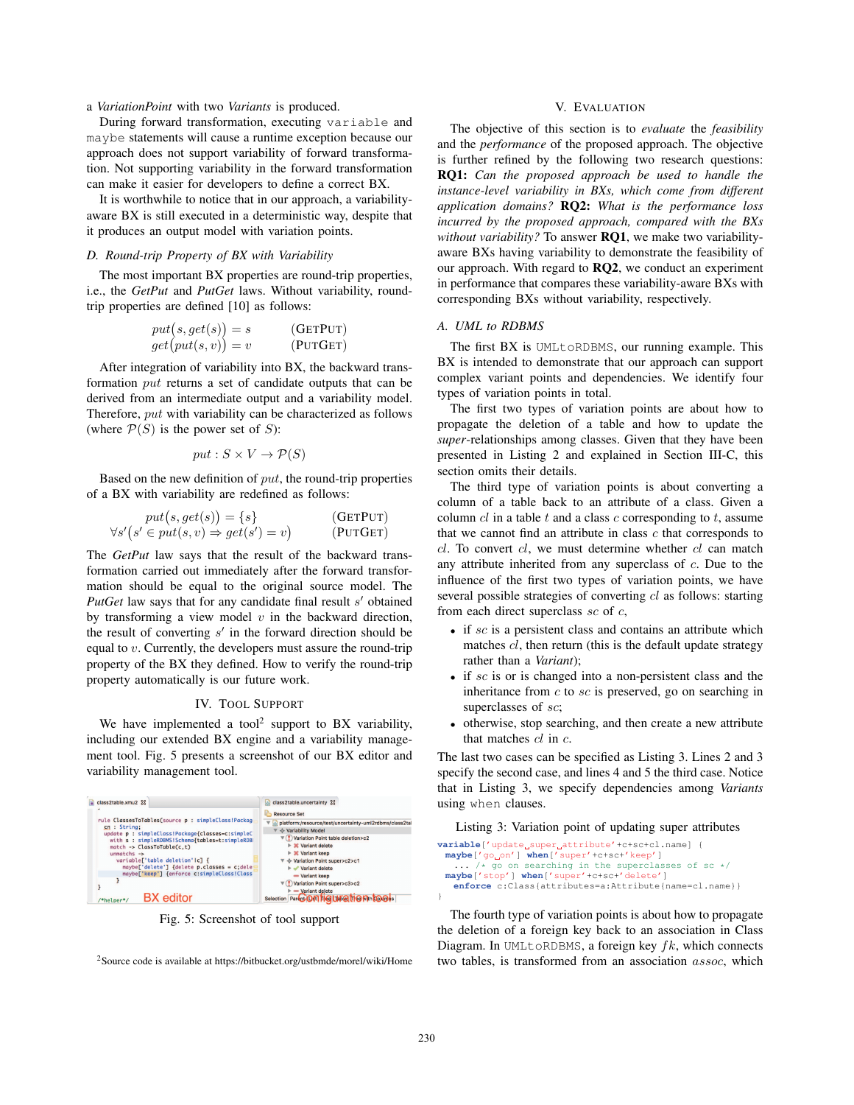# a *VariationPoint* with two *Variants* is produced.

During forward transformation, executing variable and maybe statements will cause a runtime exception because our approach does not support variability of forward transformation. Not supporting variability in the forward transformation can make it easier for developers to define a correct BX.

It is worthwhile to notice that in our approach, a variabilityaware BX is still executed in a deterministic way, despite that it produces an output model with variation points.

# *D. Round-trip Property of BX with Variability*

The most important BX properties are round-trip properties, i.e., the *GetPut* and *PutGet* laws. Without variability, roundtrip properties are defined [10] as follows:

$$
put(s, get(s)) = s
$$
 (GETPUT)  

$$
get(put(s, v)) = v
$$
 (PUTGET)

After integration of variability into BX, the backward transformation put returns a set of candidate outputs that can be derived from an intermediate output and a variability model. Therefore, put with variability can be characterized as follows (where  $P(S)$  is the power set of S):

$$
put: S \times V \to \mathcal{P}(S)
$$

Based on the new definition of  $put$ , the round-trip properties of a BX with variability are redefined as follows:

 $\lambda$ 

$$
put(s, get(s)) = \{s\}
$$
  
\n
$$
\forall s'(s' \in put(s, v) \Rightarrow get(s') = v)
$$
 (GETPUT)  
\n(PUTGET)

The *GetPut* law says that the result of the backward transformation carried out immediately after the forward transformation should be equal to the original source model. The *PutGet* law says that for any candidate final result  $s'$  obtained by transforming a view model  $v$  in the backward direction, the result of converting  $s'$  in the forward direction should be equal to v. Currently, the developers must assure the round-trip property of the BX they defined. How to verify the round-trip property automatically is our future work.

# IV. TOOL SUPPORT

We have implemented a tool<sup>2</sup> support to BX variability, including our extended BX engine and a variability management tool. Fig. 5 presents a screenshot of our BX editor and variability management tool.



Fig. 5: Screenshot of tool support

2Source code is available at https://bitbucket.org/ustbmde/morel/wiki/Home

# V. EVALUATION

The objective of this section is to *evaluate* the *feasibility* and the *performance* of the proposed approach. The objective is further refined by the following two research questions: RQ1: *Can the proposed approach be used to handle the instance-level variability in BXs, which come from different application domains?* RQ2: *What is the performance loss incurred by the proposed approach, compared with the BXs without variability?* To answer RQ1, we make two variabilityaware BXs having variability to demonstrate the feasibility of our approach. With regard to RQ2, we conduct an experiment in performance that compares these variability-aware BXs with corresponding BXs without variability, respectively.

## *A. UML to RDBMS*

The first BX is UMLtoRDBMS, our running example. This BX is intended to demonstrate that our approach can support complex variant points and dependencies. We identify four types of variation points in total.

The first two types of variation points are about how to propagate the deletion of a table and how to update the *super*-relationships among classes. Given that they have been presented in Listing 2 and explained in Section III-C, this section omits their details.

The third type of variation points is about converting a column of a table back to an attribute of a class. Given a column  $cl$  in a table  $t$  and a class  $c$  corresponding to  $t$ , assume that we cannot find an attribute in class  $c$  that corresponds to  $cl.$  To convert  $cl.$  we must determine whether  $cl.$  can match any attribute inherited from any superclass of c. Due to the influence of the first two types of variation points, we have several possible strategies of converting cl as follows: starting from each direct superclass  $\mathfrak{so}$  of  $\mathfrak{c}$ ,

- $\bullet$  if sc is a persistent class and contains an attribute which matches  $cl$ , then return (this is the default update strategy rather than a *Variant*);
- if sc is or is changed into a non-persistent class and the inheritance from  $c$  to  $sc$  is preserved, go on searching in superclasses of sc;
- otherwise, stop searching, and then create a new attribute that matches  $cl$  in  $c$ .

The last two cases can be specified as Listing 3. Lines 2 and 3 specify the second case, and lines 4 and 5 the third case. Notice that in Listing 3, we specify dependencies among *Variants* using when clauses.

Listing 3: Variation point of updating super attributes

| <b>variable</b> ['update_super_attribute'+c+sc+cl.name] { |
|-----------------------------------------------------------|
| $maybe['qo'on'] when['super'+c+sc+'keep']$                |
| $\ldots$ /* go on searching in the superclasses of sc */  |
| maybe['stop'] when['super'+c+sc+'delete']                 |
| enforce c:Class{attributes=a:Attribute{name=cl.name}}     |
|                                                           |

The fourth type of variation points is about how to propagate the deletion of a foreign key back to an association in Class Diagram. In UMLtoRDBMS, a foreign key  $fk$ , which connects two tables, is transformed from an association assoc, which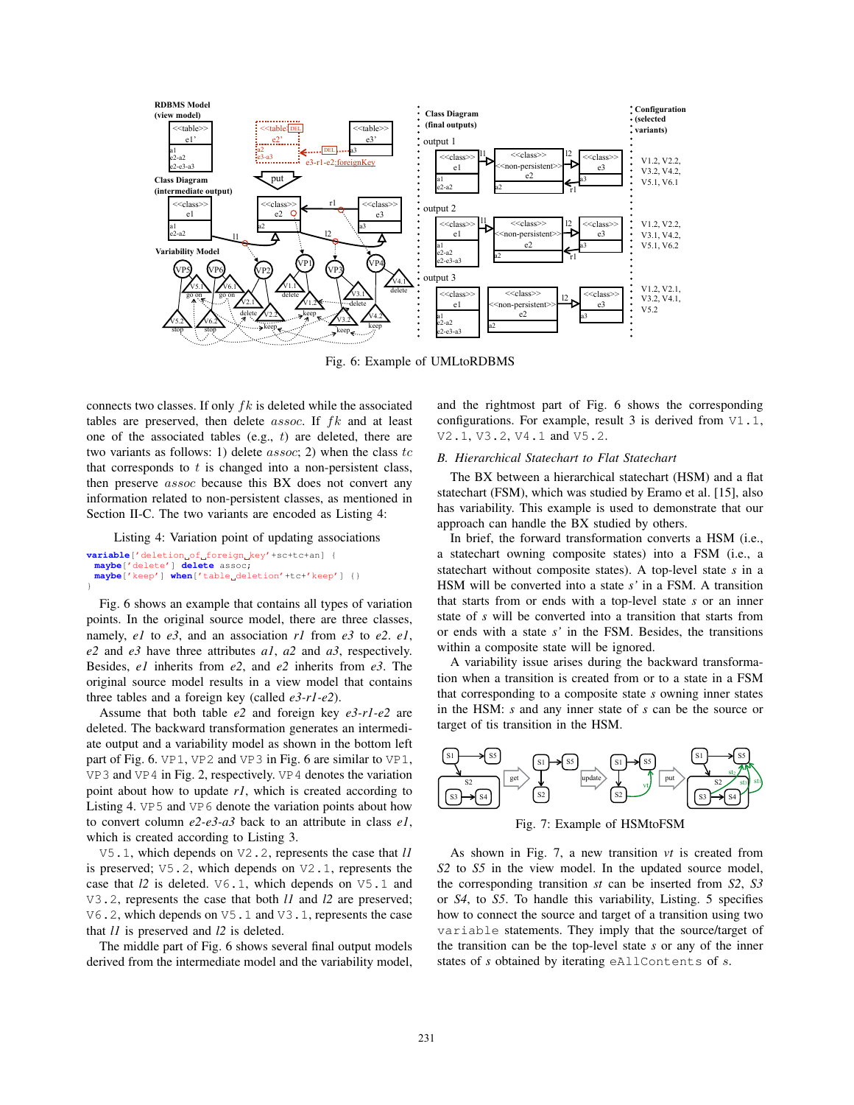

Fig. 6: Example of UMLtoRDBMS

connects two classes. If only  $fk$  is deleted while the associated tables are preserved, then delete  $assoc$ . If  $fk$  and at least one of the associated tables (e.g.,  $t$ ) are deleted, there are two variants as follows: 1) delete  $assoc$ ; 2) when the class  $tc$ that corresponds to  $t$  is changed into a non-persistent class, then preserve assoc because this BX does not convert any information related to non-persistent classes, as mentioned in Section II-C. The two variants are encoded as Listing 4:

Listing 4: Variation point of updating associations  $variable['detection_of_ofroeign\_key'+sctet-an]$ **maybe**['delete'] **delete** assoc;  $\texttt{maybe}['keep'] \text{ when}['table_d\texttt{eletion'}+tc+'keep']$  {}

}

Fig. 6 shows an example that contains all types of variation points. In the original source model, there are three classes, namely, *e1* to *e3*, and an association *r1* from *e3* to *e2*. *e1*, *e2* and *e3* have three attributes *a1*, *a2* and *a3*, respectively. Besides, *e1* inherits from *e2*, and *e2* inherits from *e3*. The original source model results in a view model that contains three tables and a foreign key (called *e3-r1-e2*).

Assume that both table *e2* and foreign key *e3-r1-e2* are deleted. The backward transformation generates an intermediate output and a variability model as shown in the bottom left part of Fig. 6. VP1, VP2 and VP3 in Fig. 6 are similar to VP1, VP3 and VP4 in Fig. 2, respectively. VP4 denotes the variation point about how to update *r1*, which is created according to Listing 4. VP5 and VP6 denote the variation points about how to convert column *e2-e3-a3* back to an attribute in class *e1*, which is created according to Listing 3.

V5.1, which depends on V2.2, represents the case that *l1* is preserved; V5.2, which depends on V2.1, represents the case that *l2* is deleted. V6.1, which depends on V5.1 and V3.2, represents the case that both *l1* and *l2* are preserved; V6.2, which depends on V5.1 and V3.1, represents the case that *l1* is preserved and *l2* is deleted.

The middle part of Fig. 6 shows several final output models derived from the intermediate model and the variability model, and the rightmost part of Fig. 6 shows the corresponding configurations. For example, result 3 is derived from V1.1, V2.1, V3.2, V4.1 and V5.2.

# *B. Hierarchical Statechart to Flat Statechart*

The BX between a hierarchical statechart (HSM) and a flat statechart (FSM), which was studied by Eramo et al. [15], also has variability. This example is used to demonstrate that our approach can handle the BX studied by others.

In brief, the forward transformation converts a HSM (i.e., a statechart owning composite states) into a FSM (i.e., a statechart without composite states). A top-level state *s* in a HSM will be converted into a state *s'* in a FSM. A transition that starts from or ends with a top-level state *s* or an inner state of *s* will be converted into a transition that starts from or ends with a state *s'* in the FSM. Besides, the transitions within a composite state will be ignored.

A variability issue arises during the backward transformation when a transition is created from or to a state in a FSM that corresponding to a composite state *s* owning inner states in the HSM: *s* and any inner state of *s* can be the source or target of tis transition in the HSM.



Fig. 7: Example of HSMtoFSM

As shown in Fig. 7, a new transition *vt* is created from *S2* to *S5* in the view model. In the updated source model, the corresponding transition *st* can be inserted from *S2*, *S3* or *S4*, to *S5*. To handle this variability, Listing. 5 specifies how to connect the source and target of a transition using two variable statements. They imply that the source/target of the transition can be the top-level state *s* or any of the inner states of *s* obtained by iterating eAllContents of s.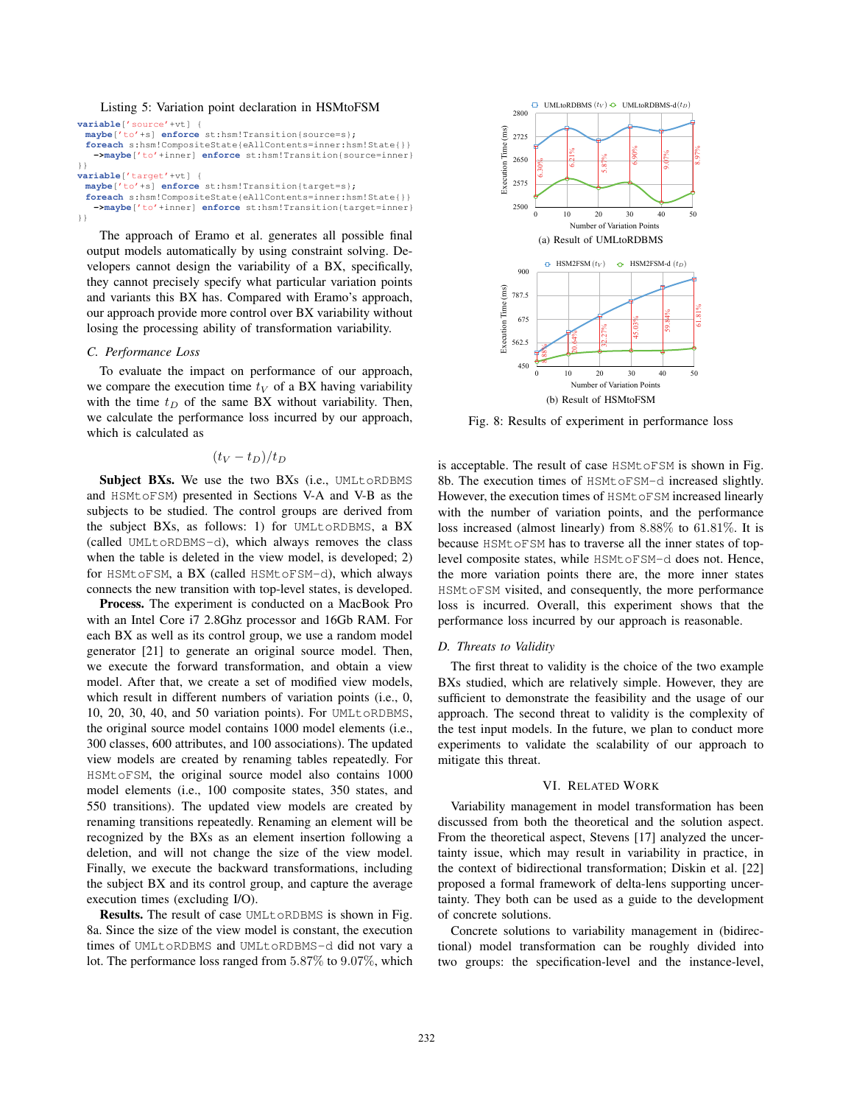#### Listing 5: Variation point declaration in HSMtoFSM

| <b>variable</b> ['source'+vt] {<br>maybe['to'+s] enforce st:hsm!Transition{source=s};                                       |  |  |
|-----------------------------------------------------------------------------------------------------------------------------|--|--|
| foreach s:hsm!CompositeState{eAllContents=inner:hsm!State{}}<br>->maybe['to'+inner] enforce st:hsm!Transition{source=inner} |  |  |
| $\}$                                                                                                                        |  |  |
| $variable['target'+vt]$                                                                                                     |  |  |
| maybe['to'+s] enforce st:hsm!Transition{target=s};                                                                          |  |  |
| foreach s:hsm!CompositeState{eAllContents=inner:hsm!State{}}<br>->maybe['to'+inner] enforce st:hsm!Transition{target=inner} |  |  |
| $\}$                                                                                                                        |  |  |

The approach of Eramo et al. generates all possible final output models automatically by using constraint solving. Developers cannot design the variability of a BX, specifically, they cannot precisely specify what particular variation points and variants this BX has. Compared with Eramo's approach, our approach provide more control over BX variability without losing the processing ability of transformation variability.

## *C. Performance Loss*

To evaluate the impact on performance of our approach, we compare the execution time  $t_V$  of a BX having variability with the time  $t_D$  of the same BX without variability. Then, we calculate the performance loss incurred by our approach, which is calculated as

$$
(t_V - t_D)/t_D
$$

Subject BXs. We use the two BXs (i.e., UMLtoRDBMS and HSMtoFSM) presented in Sections V-A and V-B as the subjects to be studied. The control groups are derived from the subject BXs, as follows: 1) for UMLtoRDBMS, a BX (called UMLtoRDBMS-d), which always removes the class when the table is deleted in the view model, is developed; 2) for HSMtoFSM, a BX (called HSMtoFSM-d), which always connects the new transition with top-level states, is developed.

Process. The experiment is conducted on a MacBook Pro with an Intel Core i7 2.8Ghz processor and 16Gb RAM. For each BX as well as its control group, we use a random model generator [21] to generate an original source model. Then, we execute the forward transformation, and obtain a view model. After that, we create a set of modified view models, which result in different numbers of variation points (i.e., 0, 10, 20, 30, 40, and 50 variation points). For UMLtoRDBMS, the original source model contains 1000 model elements (i.e., 300 classes, 600 attributes, and 100 associations). The updated view models are created by renaming tables repeatedly. For HSMtoFSM, the original source model also contains 1000 model elements (i.e., 100 composite states, 350 states, and 550 transitions). The updated view models are created by renaming transitions repeatedly. Renaming an element will be recognized by the BXs as an element insertion following a deletion, and will not change the size of the view model. Finally, we execute the backward transformations, including the subject BX and its control group, and capture the average execution times (excluding I/O).

Results. The result of case UMLtoRDBMS is shown in Fig. 8a. Since the size of the view model is constant, the execution times of UMLtoRDBMS and UMLtoRDBMS-d did not vary a lot. The performance loss ranged from 5.87% to 9.07%, which



Fig. 8: Results of experiment in performance loss

is acceptable. The result of case HSMtoFSM is shown in Fig. 8b. The execution times of HSMtoFSM-d increased slightly. However, the execution times of HSMtoFSM increased linearly with the number of variation points, and the performance loss increased (almost linearly) from 8.88% to 61.81%. It is because HSMtoFSM has to traverse all the inner states of toplevel composite states, while HSMtoFSM-d does not. Hence, the more variation points there are, the more inner states HSMtoFSM visited, and consequently, the more performance loss is incurred. Overall, this experiment shows that the performance loss incurred by our approach is reasonable.

#### *D. Threats to Validity*

The first threat to validity is the choice of the two example BXs studied, which are relatively simple. However, they are sufficient to demonstrate the feasibility and the usage of our approach. The second threat to validity is the complexity of the test input models. In the future, we plan to conduct more experiments to validate the scalability of our approach to mitigate this threat.

### VI. RELATED WORK

Variability management in model transformation has been discussed from both the theoretical and the solution aspect. From the theoretical aspect, Stevens [17] analyzed the uncertainty issue, which may result in variability in practice, in the context of bidirectional transformation; Diskin et al. [22] proposed a formal framework of delta-lens supporting uncertainty. They both can be used as a guide to the development of concrete solutions.

Concrete solutions to variability management in (bidirectional) model transformation can be roughly divided into two groups: the specification-level and the instance-level,